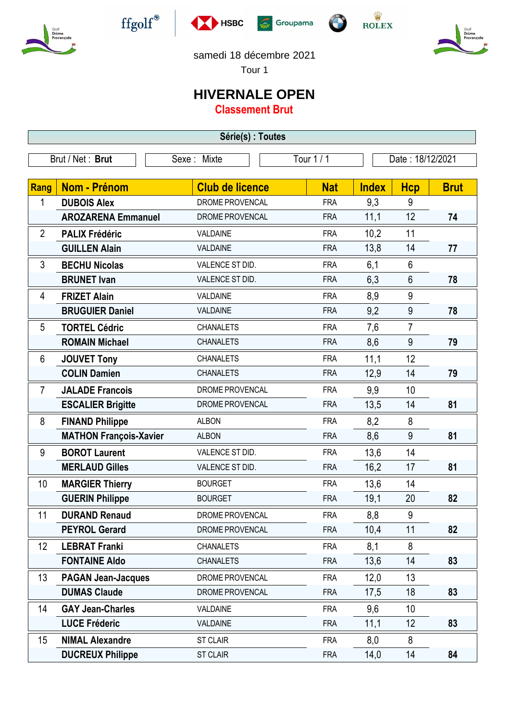









samedi 18 décembre 2021

Tour 1

## **HIVERNALE OPEN**

**Classement Brut**

| Série(s) : Toutes |                               |                        |            |              |                  |             |  |  |  |
|-------------------|-------------------------------|------------------------|------------|--------------|------------------|-------------|--|--|--|
| Brut / Net: Brut  |                               | Sexe: Mixte            | Tour 1 / 1 |              | Date: 18/12/2021 |             |  |  |  |
|                   |                               |                        |            |              |                  |             |  |  |  |
| Rang              | Nom - Prénom                  | <b>Club de licence</b> | <b>Nat</b> | <b>Index</b> | <b>Hcp</b>       | <b>Brut</b> |  |  |  |
| 1                 | <b>DUBOIS Alex</b>            | DROME PROVENCAL        | <b>FRA</b> | 9,3          | 9                |             |  |  |  |
|                   | <b>AROZARENA Emmanuel</b>     | DROME PROVENCAL        | <b>FRA</b> | 11,1         | 12               | 74          |  |  |  |
| $\mathbf{2}$      | <b>PALIX Frédéric</b>         | VALDAINE               | <b>FRA</b> | 10,2         | 11               |             |  |  |  |
|                   | <b>GUILLEN Alain</b>          | VALDAINE               | <b>FRA</b> | 13,8         | 14               | 77          |  |  |  |
| 3                 | <b>BECHU Nicolas</b>          | VALENCE ST DID.        | <b>FRA</b> | 6,1          | 6                |             |  |  |  |
|                   | <b>BRUNET Ivan</b>            | VALENCE ST DID.        | <b>FRA</b> | 6,3          | 6                | 78          |  |  |  |
| 4                 | <b>FRIZET Alain</b>           | VALDAINE               | <b>FRA</b> | 8,9          | 9                |             |  |  |  |
|                   | <b>BRUGUIER Daniel</b>        | VALDAINE               | <b>FRA</b> | 9,2          | 9                | 78          |  |  |  |
| 5                 | <b>TORTEL Cédric</b>          | <b>CHANALETS</b>       | <b>FRA</b> | 7,6          | $\overline{7}$   |             |  |  |  |
|                   | <b>ROMAIN Michael</b>         | <b>CHANALETS</b>       | <b>FRA</b> | 8,6          | 9                | 79          |  |  |  |
| 6                 | <b>JOUVET Tony</b>            | <b>CHANALETS</b>       | <b>FRA</b> | 11,1         | 12               |             |  |  |  |
|                   | <b>COLIN Damien</b>           | <b>CHANALETS</b>       | <b>FRA</b> | 12,9         | 14               | 79          |  |  |  |
| $\overline{7}$    | <b>JALADE Francois</b>        | DROME PROVENCAL        | <b>FRA</b> | 9,9          | 10               |             |  |  |  |
|                   | <b>ESCALIER Brigitte</b>      | DROME PROVENCAL        | <b>FRA</b> | 13,5         | 14               | 81          |  |  |  |
| 8                 | <b>FINAND Philippe</b>        | <b>ALBON</b>           | <b>FRA</b> | 8,2          | 8                |             |  |  |  |
|                   | <b>MATHON François-Xavier</b> | <b>ALBON</b>           | <b>FRA</b> | 8,6          | 9                | 81          |  |  |  |
| 9                 | <b>BOROT Laurent</b>          | VALENCE ST DID.        | <b>FRA</b> | 13,6         | 14               |             |  |  |  |
|                   | <b>MERLAUD Gilles</b>         | VALENCE ST DID.        | <b>FRA</b> | 16,2         | 17               | 81          |  |  |  |
| 10                | <b>MARGIER Thierry</b>        | <b>BOURGET</b>         | <b>FRA</b> | 13,6         | 14               |             |  |  |  |
|                   | <b>GUERIN Philippe</b>        | <b>BOURGET</b>         | <b>FRA</b> | 19,1         | 20               | 82          |  |  |  |
| 11                | <b>DURAND Renaud</b>          | <b>DROME PROVENCAL</b> | <b>FRA</b> | 8,8          | 9                |             |  |  |  |
|                   | <b>PEYROL Gerard</b>          | DROME PROVENCAL        | <b>FRA</b> | 10,4         | 11               | 82          |  |  |  |
| 12                | <b>LEBRAT Franki</b>          | <b>CHANALETS</b>       | <b>FRA</b> | 8,1          | 8                |             |  |  |  |
|                   | <b>FONTAINE Aldo</b>          | <b>CHANALETS</b>       | <b>FRA</b> | 13,6         | 14               | 83          |  |  |  |
| 13                | <b>PAGAN Jean-Jacques</b>     | DROME PROVENCAL        | <b>FRA</b> | 12,0         | 13               |             |  |  |  |
|                   | <b>DUMAS Claude</b>           | DROME PROVENCAL        | <b>FRA</b> | 17,5         | 18               | 83          |  |  |  |
| 14                | <b>GAY Jean-Charles</b>       | VALDAINE               | <b>FRA</b> | 9,6          | 10               |             |  |  |  |
|                   | <b>LUCE Fréderic</b>          | <b>VALDAINE</b>        | <b>FRA</b> | 11,1         | 12               | 83          |  |  |  |
| 15                | <b>NIMAL Alexandre</b>        | <b>ST CLAIR</b>        | <b>FRA</b> | 8,0          | 8                |             |  |  |  |
|                   | <b>DUCREUX Philippe</b>       | <b>ST CLAIR</b>        | <b>FRA</b> | 14,0         | 14               | 84          |  |  |  |
|                   |                               |                        |            |              |                  |             |  |  |  |